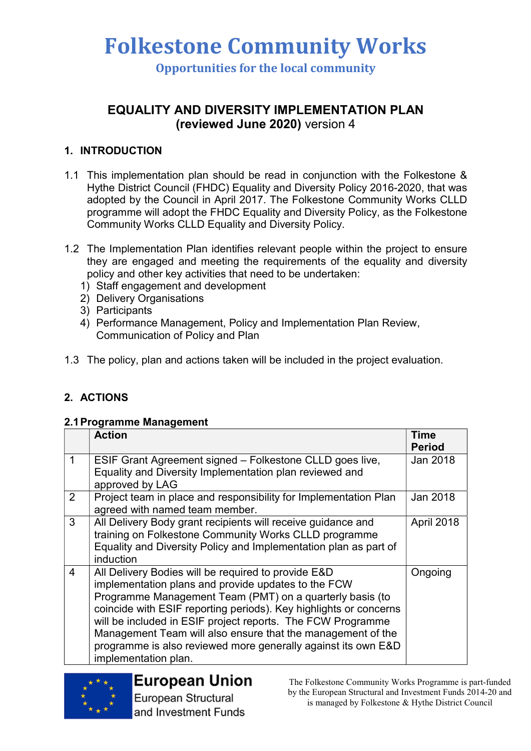Opportunities for the local community

### EQUALITY AND DIVERSITY IMPLEMENTATION PLAN (reviewed June 2020) version 4

#### 1. INTRODUCTION

- 1.1 This implementation plan should be read in conjunction with the Folkestone & Hythe District Council (FHDC) Equality and Diversity Policy 2016-2020, that was adopted by the Council in April 2017. The Folkestone Community Works CLLD programme will adopt the FHDC Equality and Diversity Policy, as the Folkestone Community Works CLLD Equality and Diversity Policy.
- 1.2 The Implementation Plan identifies relevant people within the project to ensure they are engaged and meeting the requirements of the equality and diversity policy and other key activities that need to be undertaken:
	- 1) Staff engagement and development
	- 2) Delivery Organisations
	- 3) Participants
	- 4) Performance Management, Policy and Implementation Plan Review, Communication of Policy and Plan
- 1.3 The policy, plan and actions taken will be included in the project evaluation.

### 2. ACTIONS

#### 2.1 Programme Management

|                | <b>Action</b>                                                                                                                                                                                                                                                                                                                                                                                                                                                      | <b>Time</b><br><b>Period</b> |
|----------------|--------------------------------------------------------------------------------------------------------------------------------------------------------------------------------------------------------------------------------------------------------------------------------------------------------------------------------------------------------------------------------------------------------------------------------------------------------------------|------------------------------|
| 1              | ESIF Grant Agreement signed - Folkestone CLLD goes live,<br>Equality and Diversity Implementation plan reviewed and<br>approved by LAG                                                                                                                                                                                                                                                                                                                             | Jan 2018                     |
| 2              | Project team in place and responsibility for Implementation Plan<br>agreed with named team member.                                                                                                                                                                                                                                                                                                                                                                 | Jan 2018                     |
| 3              | All Delivery Body grant recipients will receive guidance and<br>training on Folkestone Community Works CLLD programme<br>Equality and Diversity Policy and Implementation plan as part of<br>induction                                                                                                                                                                                                                                                             | April 2018                   |
| $\overline{4}$ | All Delivery Bodies will be required to provide E&D<br>implementation plans and provide updates to the FCW<br>Programme Management Team (PMT) on a quarterly basis (to<br>coincide with ESIF reporting periods). Key highlights or concerns<br>will be included in ESIF project reports. The FCW Programme<br>Management Team will also ensure that the management of the<br>programme is also reviewed more generally against its own E&D<br>implementation plan. | Ongoing                      |



## **European Union**

European Structural and Investment Funds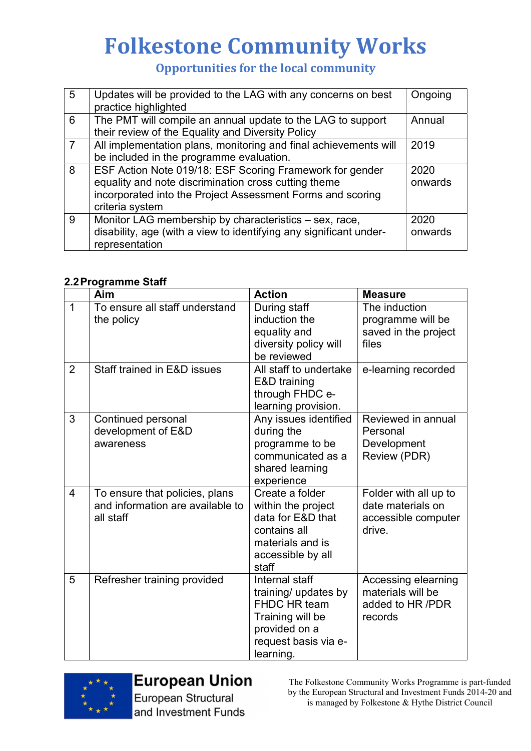Opportunities for the local community

| $5\phantom{1}$ | Updates will be provided to the LAG with any concerns on best<br>practice highlighted                                                                                                             | Ongoing         |
|----------------|---------------------------------------------------------------------------------------------------------------------------------------------------------------------------------------------------|-----------------|
| 6              | The PMT will compile an annual update to the LAG to support<br>their review of the Equality and Diversity Policy                                                                                  | Annual          |
|                | All implementation plans, monitoring and final achievements will<br>be included in the programme evaluation.                                                                                      | 2019            |
| 8              | ESF Action Note 019/18: ESF Scoring Framework for gender<br>equality and note discrimination cross cutting theme<br>incorporated into the Project Assessment Forms and scoring<br>criteria system | 2020<br>onwards |
| 9              | Monitor LAG membership by characteristics – sex, race,<br>disability, age (with a view to identifying any significant under-<br>representation                                                    | 2020<br>onwards |

### 2.2 Programme Staff

|                | Aim                                                                             | <b>Action</b>                                                                                                                           | <b>Measure</b>                                                              |
|----------------|---------------------------------------------------------------------------------|-----------------------------------------------------------------------------------------------------------------------------------------|-----------------------------------------------------------------------------|
| $\overline{1}$ | To ensure all staff understand<br>the policy                                    | During staff<br>induction the<br>equality and<br>diversity policy will<br>be reviewed                                                   | The induction<br>programme will be<br>saved in the project<br>files         |
| $\overline{2}$ | Staff trained in E&D issues                                                     | All staff to undertake<br>E&D training<br>through FHDC e-<br>learning provision.                                                        | e-learning recorded                                                         |
| 3              | Continued personal<br>development of E&D<br>awareness                           | Any issues identified<br>during the<br>programme to be<br>communicated as a<br>shared learning<br>experience                            | Reviewed in annual<br>Personal<br>Development<br>Review (PDR)               |
| $\overline{4}$ | To ensure that policies, plans<br>and information are available to<br>all staff | Create a folder<br>within the project<br>data for E&D that<br>contains all<br>materials and is<br>accessible by all<br>staff            | Folder with all up to<br>date materials on<br>accessible computer<br>drive. |
| $\overline{5}$ | Refresher training provided                                                     | Internal staff<br>training/ updates by<br><b>FHDC HR team</b><br>Training will be<br>provided on a<br>request basis via e-<br>learning. | Accessing elearning<br>materials will be<br>added to HR /PDR<br>records     |



### **European Union**

European Structural and Investment Funds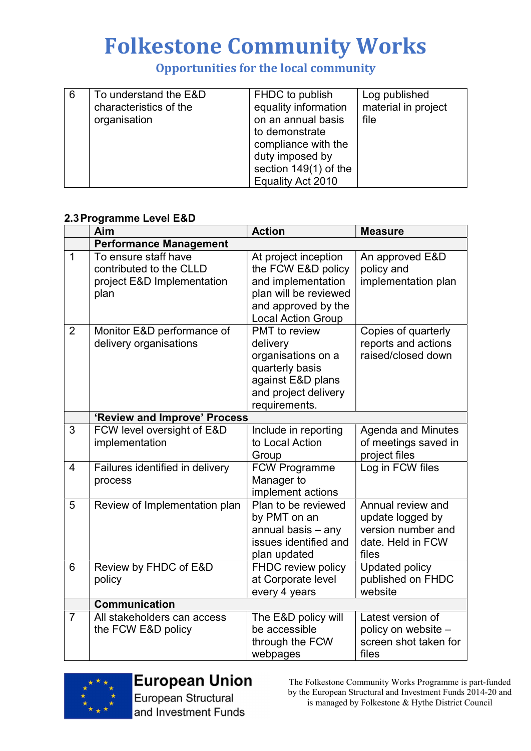Opportunities for the local community

| 6 | To understand the E&D<br>characteristics of the<br>organisation | FHDC to publish<br>equality information<br>on an annual basis<br>to demonstrate<br>compliance with the<br>duty imposed by<br>section 149(1) of the<br>Equality Act 2010 | Log published<br>material in project<br>file |
|---|-----------------------------------------------------------------|-------------------------------------------------------------------------------------------------------------------------------------------------------------------------|----------------------------------------------|
|---|-----------------------------------------------------------------|-------------------------------------------------------------------------------------------------------------------------------------------------------------------------|----------------------------------------------|

#### 2.3 Programme Level E&D

|                | Aim                                                                                   | <b>Action</b>                                                                                                                                 | <b>Measure</b>                                                                            |  |
|----------------|---------------------------------------------------------------------------------------|-----------------------------------------------------------------------------------------------------------------------------------------------|-------------------------------------------------------------------------------------------|--|
|                | <b>Performance Management</b>                                                         |                                                                                                                                               |                                                                                           |  |
| $\mathbf{1}$   | To ensure staff have<br>contributed to the CLLD<br>project E&D Implementation<br>plan | At project inception<br>the FCW E&D policy<br>and implementation<br>plan will be reviewed<br>and approved by the<br><b>Local Action Group</b> | An approved E&D<br>policy and<br>implementation plan                                      |  |
| $\overline{2}$ | Monitor E&D performance of<br>delivery organisations                                  | PMT to review<br>delivery<br>organisations on a<br>quarterly basis<br>against E&D plans<br>and project delivery<br>requirements.              | Copies of quarterly<br>reports and actions<br>raised/closed down                          |  |
|                | 'Review and Improve' Process                                                          |                                                                                                                                               |                                                                                           |  |
| 3              | FCW level oversight of E&D<br>implementation                                          | Include in reporting<br>to Local Action<br>Group                                                                                              | <b>Agenda and Minutes</b><br>of meetings saved in<br>project files                        |  |
| 4              | Failures identified in delivery<br>process                                            | <b>FCW Programme</b><br>Manager to<br>implement actions                                                                                       | Log in FCW files                                                                          |  |
| 5              | Review of Implementation plan                                                         | Plan to be reviewed<br>by PMT on an<br>annual basis - any<br>issues identified and<br>plan updated                                            | Annual review and<br>update logged by<br>version number and<br>date. Held in FCW<br>files |  |
| 6              | Review by FHDC of E&D<br>policy                                                       | <b>FHDC review policy</b><br>at Corporate level<br>every 4 years                                                                              | <b>Updated policy</b><br>published on FHDC<br>website                                     |  |
|                | <b>Communication</b>                                                                  |                                                                                                                                               |                                                                                           |  |
| $\overline{7}$ | All stakeholders can access<br>the FCW E&D policy                                     | The E&D policy will<br>be accessible<br>through the FCW<br>webpages                                                                           | Latest version of<br>policy on website -<br>screen shot taken for<br>files                |  |



### **European Union**

European Structural and Investment Funds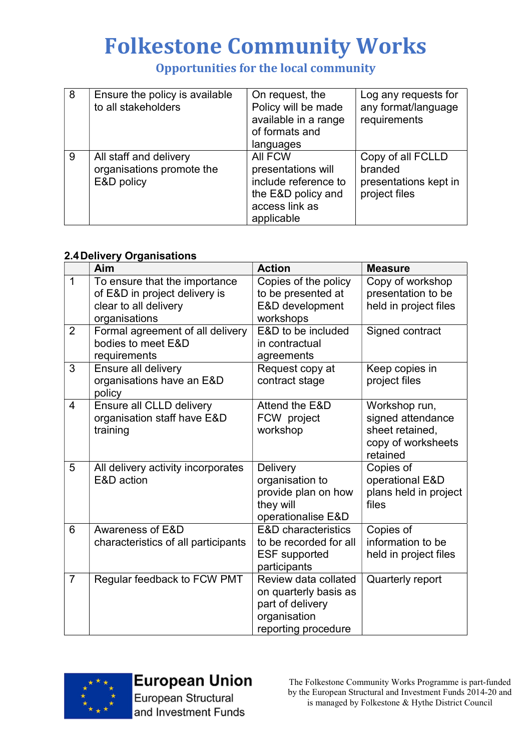Opportunities for the local community

| 8 | Ensure the policy is available<br>to all stakeholders             | On request, the<br>Policy will be made<br>available in a range<br>of formats and<br>languages                      | Log any requests for<br>any format/language<br>requirements            |
|---|-------------------------------------------------------------------|--------------------------------------------------------------------------------------------------------------------|------------------------------------------------------------------------|
| 9 | All staff and delivery<br>organisations promote the<br>E&D policy | <b>All FCW</b><br>presentations will<br>include reference to<br>the E&D policy and<br>access link as<br>applicable | Copy of all FCLLD<br>branded<br>presentations kept in<br>project files |

### 2.4 Delivery Organisations

|                | Aim                                 | <b>Action</b>                  | <b>Measure</b>                     |
|----------------|-------------------------------------|--------------------------------|------------------------------------|
| $\overline{1}$ | To ensure that the importance       | Copies of the policy           | Copy of workshop                   |
|                | of E&D in project delivery is       | to be presented at             | presentation to be                 |
|                | clear to all delivery               | E&D development                | held in project files              |
|                | organisations                       | workshops                      |                                    |
| $\overline{2}$ | Formal agreement of all delivery    | E&D to be included             | Signed contract                    |
|                | bodies to meet E&D                  | in contractual                 |                                    |
|                | requirements                        | agreements                     |                                    |
| 3              | Ensure all delivery                 | Request copy at                | Keep copies in                     |
|                | organisations have an E&D           | contract stage                 | project files                      |
| $\overline{4}$ | policy<br>Ensure all CLLD delivery  | Attend the E&D                 |                                    |
|                | organisation staff have E&D         | FCW project                    | Workshop run,<br>signed attendance |
|                | training                            | workshop                       | sheet retained,                    |
|                |                                     |                                | copy of worksheets                 |
|                |                                     |                                | retained                           |
| 5              | All delivery activity incorporates  | Delivery                       | Copies of                          |
|                | E&D action                          | organisation to                | operational E&D                    |
|                |                                     | provide plan on how            | plans held in project              |
|                |                                     | they will                      | files                              |
|                |                                     | operationalise E&D             |                                    |
| 6              | Awareness of E&D                    | <b>E&amp;D</b> characteristics | Copies of                          |
|                | characteristics of all participants | to be recorded for all         | information to be                  |
|                |                                     | <b>ESF</b> supported           | held in project files              |
|                |                                     | participants                   |                                    |
| $\overline{7}$ | Regular feedback to FCW PMT         | Review data collated           | Quarterly report                   |
|                |                                     | on quarterly basis as          |                                    |
|                |                                     | part of delivery               |                                    |
|                |                                     | organisation                   |                                    |
|                |                                     | reporting procedure            |                                    |



### **European Union**

European Structural and Investment Funds